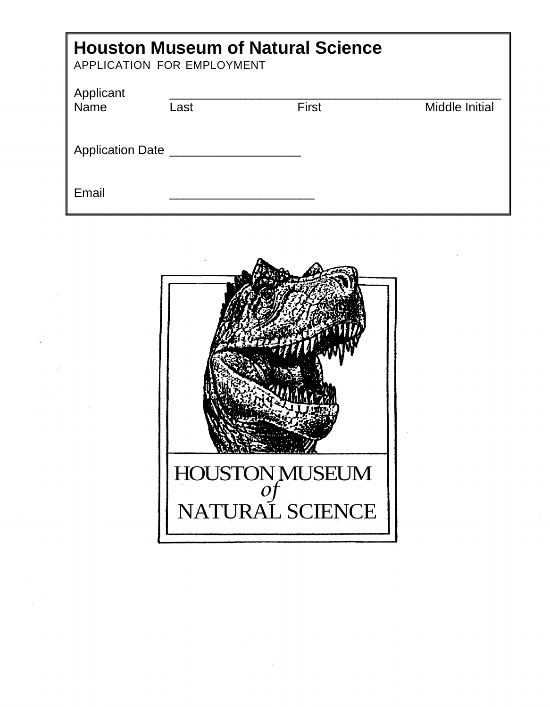| <b>Houston Museum of Natural Science</b><br>APPLICATION FOR EMPLOYMENT |      |              |                |  |  |  |
|------------------------------------------------------------------------|------|--------------|----------------|--|--|--|
| Applicant<br><b>Name</b>                                               | Last | <b>First</b> | Middle Initial |  |  |  |
| Application Date                                                       |      |              |                |  |  |  |
| Email                                                                  |      |              |                |  |  |  |

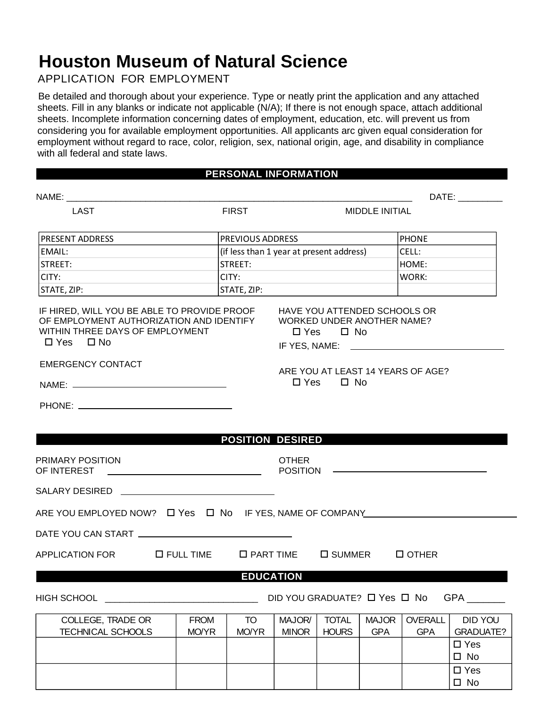# **Houston Museum of Natural Science**

APPLICATION FOR EMPLOYMENT

Be detailed and thorough about your experience. Type or neatly print the application and any attached sheets. Fill in any blanks or indicate not applicable (N/A); If there is not enough space, attach additional sheets. Incomplete information concerning dates of employment, education, etc. will prevent us from considering you for available employment opportunities. All applicants arc given equal consideration for employment without regard to race, color, religion, sex, national origin, age, and disability in compliance with all federal and state laws.

#### **PERSONAL INFORMATION**

|                                                                                                                                                                                                                                      |                     |                                          |                                                                                                                                                     |                                                                                           |              |                                   | DATE: the contract of the contract of the contract of the contract of the contract of the contract of the contract of the contract of the contract of the contract of the contract of the contract of the contract of the cont |  |
|--------------------------------------------------------------------------------------------------------------------------------------------------------------------------------------------------------------------------------------|---------------------|------------------------------------------|-----------------------------------------------------------------------------------------------------------------------------------------------------|-------------------------------------------------------------------------------------------|--------------|-----------------------------------|--------------------------------------------------------------------------------------------------------------------------------------------------------------------------------------------------------------------------------|--|
| LAST                                                                                                                                                                                                                                 | <b>FIRST</b>        |                                          |                                                                                                                                                     | <b>MIDDLE INITIAL</b>                                                                     |              |                                   |                                                                                                                                                                                                                                |  |
| PRESENT ADDRESS                                                                                                                                                                                                                      |                     | <b>PREVIOUS ADDRESS</b>                  |                                                                                                                                                     |                                                                                           |              | <b>PHONE</b>                      |                                                                                                                                                                                                                                |  |
| EMAIL:                                                                                                                                                                                                                               |                     | (if less than 1 year at present address) |                                                                                                                                                     |                                                                                           |              | CELL:                             |                                                                                                                                                                                                                                |  |
| STREET:                                                                                                                                                                                                                              |                     | STREET:                                  |                                                                                                                                                     |                                                                                           |              | HOME:                             |                                                                                                                                                                                                                                |  |
| CITY:                                                                                                                                                                                                                                |                     | CITY:                                    |                                                                                                                                                     |                                                                                           |              | <b>WORK:</b>                      |                                                                                                                                                                                                                                |  |
| STATE, ZIP:<br><u> 1980 - Jan Jawa Barat, prima provincia prima prima prima prima prima prima prima prima prima prima prima pri</u>                                                                                                  |                     | STATE, ZIP:                              |                                                                                                                                                     |                                                                                           |              |                                   |                                                                                                                                                                                                                                |  |
| IF HIRED, WILL YOU BE ABLE TO PROVIDE PROOF<br>OF EMPLOYMENT AUTHORIZATION AND IDENTIFY<br>WITHIN THREE DAYS OF EMPLOYMENT<br>$\Box$ Yes $\Box$ No<br><b>EMERGENCY CONTACT</b>                                                       |                     |                                          |                                                                                                                                                     | HAVE YOU ATTENDED SCHOOLS OR<br><b>WORKED UNDER ANOTHER NAME?</b><br>$\Box$ Yes $\Box$ No |              | ARE YOU AT LEAST 14 YEARS OF AGE? |                                                                                                                                                                                                                                |  |
|                                                                                                                                                                                                                                      |                     |                                          |                                                                                                                                                     | $\Box$ Yes $\Box$ No                                                                      |              |                                   |                                                                                                                                                                                                                                |  |
|                                                                                                                                                                                                                                      |                     |                                          |                                                                                                                                                     |                                                                                           |              |                                   |                                                                                                                                                                                                                                |  |
|                                                                                                                                                                                                                                      |                     |                                          |                                                                                                                                                     |                                                                                           |              |                                   |                                                                                                                                                                                                                                |  |
|                                                                                                                                                                                                                                      |                     |                                          |                                                                                                                                                     |                                                                                           |              |                                   |                                                                                                                                                                                                                                |  |
| <u>a sa salawang mga sangang pangangang ng mga sangang ng mga sangang ng mga sangang ng mga sangang ng mga sangang ng mga sangang ng mga sangang ng mga sangang ng mga sangang ng mga sangang ng mga sangang ng mga sangang ng m</u> |                     | <b>POSITION DESIRED</b>                  |                                                                                                                                                     |                                                                                           |              |                                   |                                                                                                                                                                                                                                |  |
| PRIMARY POSITION<br>OF INTEREST<br><u> 1989 - Johann Barnett, fransk politik (d. 1989)</u>                                                                                                                                           |                     |                                          | <b>OTHER</b><br>POSITION<br><u> The Communication of the Communication of the Communication of the Communication of the Communication of the Co</u> |                                                                                           |              |                                   |                                                                                                                                                                                                                                |  |
| SALARY DESIRED ________________________________                                                                                                                                                                                      |                     |                                          |                                                                                                                                                     |                                                                                           |              |                                   |                                                                                                                                                                                                                                |  |
| ARE YOU EMPLOYED NOW? □ Yes □ No IF YES, NAME OF COMPANY________________________                                                                                                                                                     |                     |                                          |                                                                                                                                                     |                                                                                           |              |                                   |                                                                                                                                                                                                                                |  |
|                                                                                                                                                                                                                                      |                     |                                          |                                                                                                                                                     |                                                                                           |              |                                   |                                                                                                                                                                                                                                |  |
|                                                                                                                                                                                                                                      |                     |                                          |                                                                                                                                                     |                                                                                           |              |                                   |                                                                                                                                                                                                                                |  |
| APPLICATION FOR                                                                                                                                                                                                                      | $\square$ FULL TIME |                                          | $\square$ PART TIME                                                                                                                                 | $\square$ SUMMER                                                                          |              | $\Box$ OTHER                      |                                                                                                                                                                                                                                |  |
|                                                                                                                                                                                                                                      |                     | <b>EDUCATION</b>                         |                                                                                                                                                     |                                                                                           |              |                                   |                                                                                                                                                                                                                                |  |
|                                                                                                                                                                                                                                      |                     |                                          |                                                                                                                                                     |                                                                                           |              |                                   |                                                                                                                                                                                                                                |  |
| <b>HIGH SCHOOL</b>                                                                                                                                                                                                                   |                     |                                          | DID YOU GRADUATE? □ Yes □ No                                                                                                                        |                                                                                           |              |                                   | <b>GPA</b>                                                                                                                                                                                                                     |  |
| COLLEGE, TRADE OR                                                                                                                                                                                                                    | <b>FROM</b>         | TO                                       | MAJOR/                                                                                                                                              | <b>TOTAL</b>                                                                              | <b>MAJOR</b> | <b>OVERALL</b>                    | DID YOU                                                                                                                                                                                                                        |  |
| <b>TECHNICAL SCHOOLS</b>                                                                                                                                                                                                             | MO/YR               | MO/YR                                    | <b>MINOR</b>                                                                                                                                        | <b>HOURS</b>                                                                              | <b>GPA</b>   | <b>GPA</b>                        | <b>GRADUATE?</b>                                                                                                                                                                                                               |  |
|                                                                                                                                                                                                                                      |                     |                                          |                                                                                                                                                     |                                                                                           |              |                                   | $\square$ Yes                                                                                                                                                                                                                  |  |
|                                                                                                                                                                                                                                      |                     |                                          |                                                                                                                                                     |                                                                                           |              |                                   | $\square$ No                                                                                                                                                                                                                   |  |
|                                                                                                                                                                                                                                      |                     |                                          |                                                                                                                                                     |                                                                                           |              |                                   | $\square$ Yes<br>$\square$ No                                                                                                                                                                                                  |  |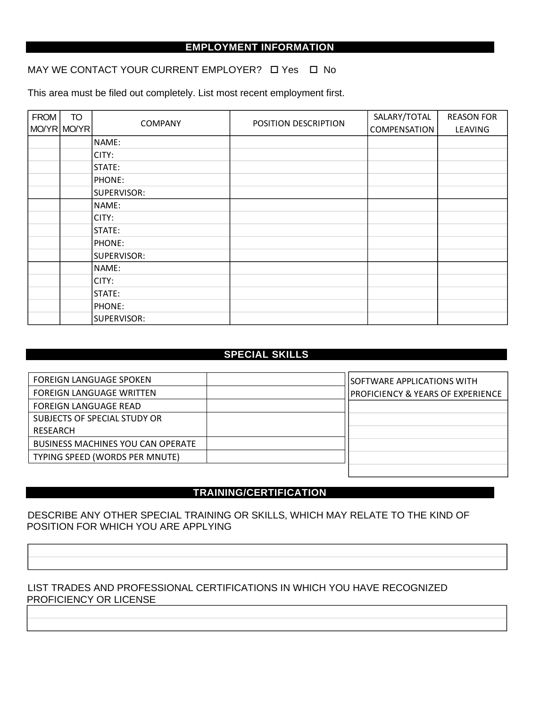### **EMPLOYMENT INFORMATION**

MAY WE CONTACT YOUR CURRENT EMPLOYER?  $\Box$  Yes  $\Box$  No

This area must be filed out completely. List most recent employment first.

| <b>FROM</b> | <b>TO</b><br>MO/YR MO/YR | <b>COMPANY</b> | POSITION DESCRIPTION | SALARY/TOTAL<br><b>COMPENSATION</b> | <b>REASON FOR</b><br>LEAVING |
|-------------|--------------------------|----------------|----------------------|-------------------------------------|------------------------------|
|             |                          | NAME:          |                      |                                     |                              |
|             |                          | CITY:          |                      |                                     |                              |
|             |                          | STATE:         |                      |                                     |                              |
|             |                          | <b>PHONE:</b>  |                      |                                     |                              |
|             |                          | SUPERVISOR:    |                      |                                     |                              |
|             |                          | NAME:          |                      |                                     |                              |
|             |                          | CITY:          |                      |                                     |                              |
|             |                          | STATE:         |                      |                                     |                              |
|             |                          | <b>PHONE:</b>  |                      |                                     |                              |
|             |                          | SUPERVISOR:    |                      |                                     |                              |
|             |                          | NAME:          |                      |                                     |                              |
|             |                          | CITY:          |                      |                                     |                              |
|             |                          | STATE:         |                      |                                     |                              |
|             |                          | PHONE:         |                      |                                     |                              |
|             |                          | SUPERVISOR:    |                      |                                     |                              |

#### **SPECIAL SKILLS**

| PROFICIENCY & YEARS OF EXPERIENCE |
|-----------------------------------|
|                                   |
|                                   |
|                                   |
|                                   |
|                                   |
|                                   |

#### **TRAINING/CERTIFICATION**

#### DESCRIBE ANY OTHER SPECIAL TRAINING OR SKILLS, WHICH MAY RELATE TO THE KIND OF POSITION FOR WHICH YOU ARE APPLYING

#### LIST TRADES AND PROFESSIONAL CERTIFICATIONS IN WHICH YOU HAVE RECOGNIZED PROFICIENCY OR LICENSE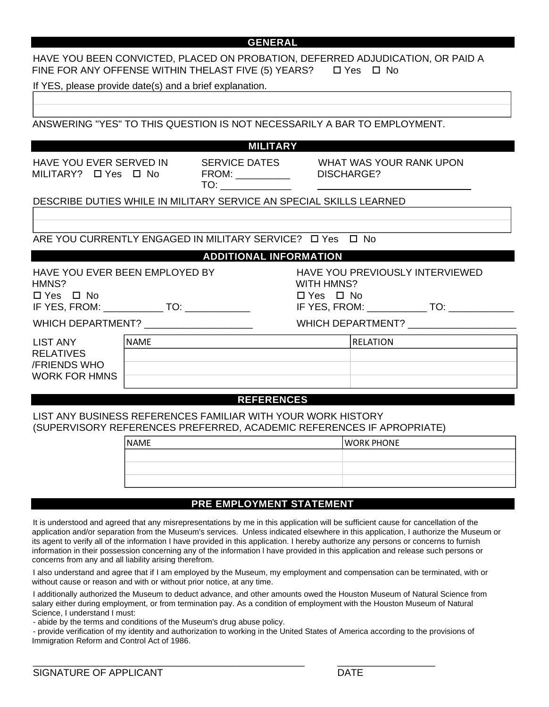#### **GENERAL** HAVE YOU BEEN CONVICTED, PLACED ON PROBATION, DEFERRED ADJUDICATION, OR PAID A FINE FOR ANY OFFENSE WITHIN THELAST FIVE (5) YEARS?  $\Box$  Yes  $\Box$  No If YES, please provide date(s) and a brief explanation. ANSWERING "YES" TO THIS QUESTION IS NOT NECESSARILY A BAR TO EMPLOYMENT. **MILITARY** HAVE YOU EVER SERVED IN  $MILITARY?$   $\Box$  Yes  $\Box$  No SERVICE DATES FROM: \_\_\_\_\_\_\_\_\_\_ TO:  $\blacksquare$ WHAT WAS YOUR RANK UPON DISCHARGE? DESCRIBE DUTIES WHILE IN MILITARY SERVICE AN SPECIAL SKILLS LEARNED ARE YOU CURRENTLY ENGAGED IN MILITARY SERVICE? 
L Yes 
L No **ADDITIONAL INFORMATION** HAVE YOU EVER BEEN EMPLOYED BY HMNS?  $\Box$  Yes  $\Box$  No IF YES, FROM: \_\_\_\_\_\_\_\_\_\_\_ TO: \_\_\_\_\_\_\_\_\_\_\_\_ WHICH DEPARTMENT? \_\_\_\_\_\_\_\_\_\_\_\_\_\_\_\_\_\_\_\_ HAVE YOU PREVIOUSLY INTERVIEWED WITH HMNS?  $\Box$  Yes  $\Box$  No IF YES, FROM: \_\_\_\_\_\_\_\_\_\_\_\_\_ TO: \_\_\_\_\_\_\_\_\_\_\_\_\_ WHICH DEPARTMENT? \_\_\_\_\_\_\_\_\_\_\_\_\_\_\_\_\_\_\_\_ LIST ANY RELATIVES /FRIENDS WHO WORK FOR HMNS **REFERENCES** LIST ANY BUSINESS REFERENCES FAMILIAR WITH YOUR WORK HISTORY (SUPERVISORY REFERENCES PREFERRED, ACADEMIC REFERENCES IF APROPRIATE) NAME RELATION NAME WORK PHONE

## **PRE EMPLOYMENT STATEMENT**

It is understood and agreed that any misrepresentations by me in this application will be sufficient cause for cancellation of the application and/or separation from the Museum's services. Unless indicated elsewhere in this application, I authorize the Museum or its agent to verify all of the information I have provided in this application. I hereby authorize any persons or concerns to furnish information in their possession concerning any of the information l have provided in this application and release such persons or concerns from any and all liability arising therefrom.

I also understand and agree that if I am employed by the Museum, my employment and compensation can be terminated, with or without cause or reason and with or without prior notice, at any time.

I additionally authorized the Museum to deduct advance, and other amounts owed the Houston Museum of Natural Science from salary either during employment, or from termination pay. As a condition of employment with the Houston Museum of Natural Science, I understand I must:

- abide by the terms and conditions of the Museum's drug abuse policy.

- provide verification of my identity and authorization to working in the United States of America according to the provisions of Immigration Reform and Control Act of 1986.